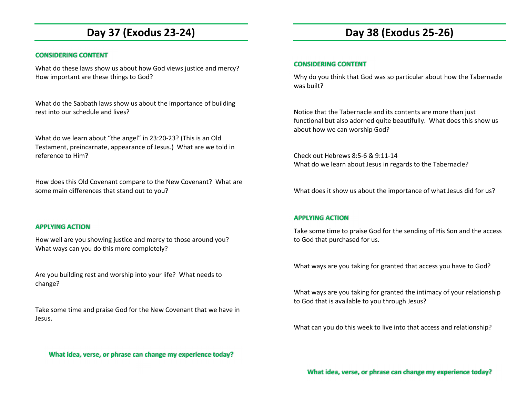## **Day 37 (Exodus 23-24)**

#### **CONSIDERING CONTENT**

What do these laws show us about how God views justice and mercy? How important are these things to God?

What do the Sabbath laws show us about the importance of building rest into our schedule and lives?

What do we learn about "the angel" in 23:20-23? (This is an Old Testament, preincarnate, appearance of Jesus.) What are we told in reference to Him?

How does this Old Covenant compare to the New Covenant? What are some main differences that stand out to you?

#### **APPLYING ACTION**

How well are you showing justice and mercy to those around you? What ways can you do this more completely?

Are you building rest and worship into your life? What needs to change?

Take some time and praise God for the New Covenant that we have in Jesus.

### **What idea, verse, or phrase can change my experience today?**

## **Day 38 (Exodus 25-26)**

#### **CONSIDERING CONTENT**

Why do you think that God was so particular about how the Tabernacle was built?

Notice that the Tabernacle and its contents are more than just functional but also adorned quite beautifully. What does this show us about how we can worship God?

Check out Hebrews 8:5-6 & 9:11-14 What do we learn about Jesus in regards to the Tabernacle?

What does it show us about the importance of what Jesus did for us?

### **APPLYING ACTION**

Take some time to praise God for the sending of His Son and the access to God that purchased for us.

What ways are you taking for granted that access you have to God?

What ways are you taking for granted the intimacy of your relationship to God that is available to you through Jesus?

What can you do this week to live into that access and relationship?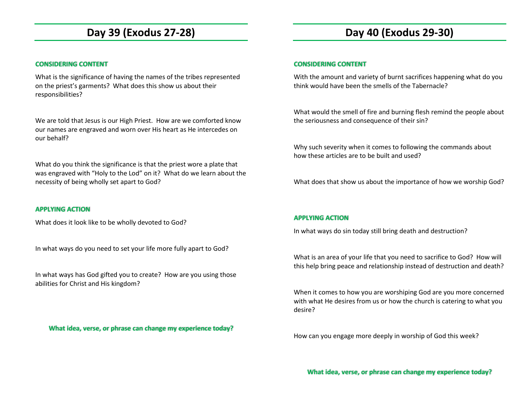## **Day 39 (Exodus 27-28)**

### **CONSIDERING CONTENT**

What is the significance of having the names of the tribes represented on the priest's garments? What does this show us about their responsibilities?

We are told that Jesus is our High Priest. How are we comforted know our names are engraved and worn over His heart as He intercedes on our behalf?

What do you think the significance is that the priest wore a plate that was engraved with "Holy to the Lod" on it? What do we learn about the necessity of being wholly set apart to God?

### **APPLYING ACTION**

What does it look like to be wholly devoted to God?

In what ways do you need to set your life more fully apart to God?

In what ways has God gifted you to create? How are you using those abilities for Christ and His kingdom?

**What idea, verse, or phrase can change my experience today?** 

## **Day 40 (Exodus 29-30)**

#### **CONSIDERING CONTENT**

With the amount and variety of burnt sacrifices happening what do you think would have been the smells of the Tabernacle?

What would the smell of fire and burning flesh remind the people about the seriousness and consequence of their sin?

Why such severity when it comes to following the commands about how these articles are to be built and used?

What does that show us about the importance of how we worship God?

### **APPLYING ACTION**

In what ways do sin today still bring death and destruction?

What is an area of your life that you need to sacrifice to God? How will this help bring peace and relationship instead of destruction and death?

When it comes to how you are worshiping God are you more concerned with what He desires from us or how the church is catering to what you desire?

How can you engage more deeply in worship of God this week?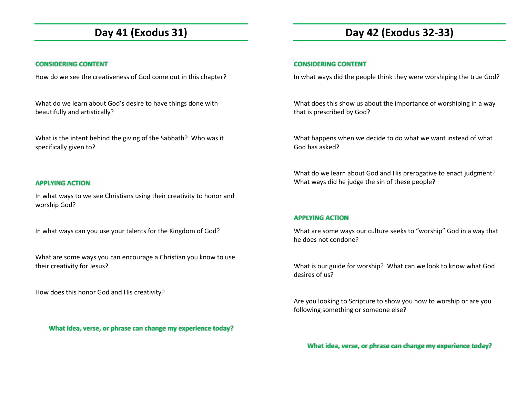## **Day 41 (Exodus 31)**

### **CONSIDERING CONTENT**

How do we see the creativeness of God come out in this chapter?

What do we learn about God's desire to have things done with beautifully and artistically?

What is the intent behind the giving of the Sabbath? Who was it specifically given to?

### **APPLYING ACTION**

In what ways to we see Christians using their creativity to honor and worship God?

In what ways can you use your talents for the Kingdom of God?

What are some ways you can encourage a Christian you know to use their creativity for Jesus?

How does this honor God and His creativity?

**What idea, verse, or phrase can change my experience today?** 

# **Day 42 (Exodus 32-33)**

### **CONSIDERING CONTENT**

In what ways did the people think they were worshiping the true God?

What does this show us about the importance of worshiping in a way that is prescribed by God?

What happens when we decide to do what we want instead of what God has asked?

What do we learn about God and His prerogative to enact judgment? What ways did he judge the sin of these people?

## **APPLYING ACTION**

What are some ways our culture seeks to "worship" God in a way that he does not condone?

What is our guide for worship? What can we look to know what God desires of us?

Are you looking to Scripture to show you how to worship or are you following something or someone else?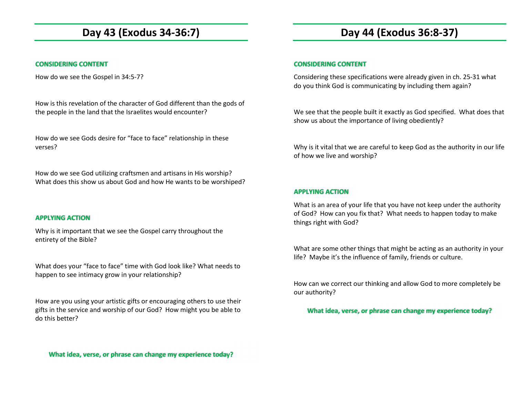# **Day 43 (Exodus 34-36:7)**

### **CONSIDERING CONTENT**

How do we see the Gospel in 34:5-7?

How is this revelation of the character of God different than the gods of the people in the land that the Israelites would encounter?

How do we see Gods desire for "face to face" relationship in these verses?

How do we see God utilizing craftsmen and artisans in His worship? What does this show us about God and how He wants to be worshiped?

### **APPLYING ACTION**

Why is it important that we see the Gospel carry throughout the entirety of the Bible?

What does your "face to face" time with God look like? What needs to happen to see intimacy grow in your relationship?

How are you using your artistic gifts or encouraging others to use their gifts in the service and worship of our God? How might you be able to do this better?

#### **CONSIDERING CONTENT**

Considering these specifications were already given in ch. 25-31 what do you think God is communicating by including them again?

We see that the people built it exactly as God specified. What does that show us about the importance of living obediently?

Why is it vital that we are careful to keep God as the authority in our life of how we live and worship?

#### **APPLYING ACTION**

What is an area of your life that you have not keep under the authority of God? How can you fix that? What needs to happen today to make things right with God?

What are some other things that might be acting as an authority in your life? Maybe it's the influence of family, friends or culture.

How can we correct our thinking and allow God to more completely be our authority?